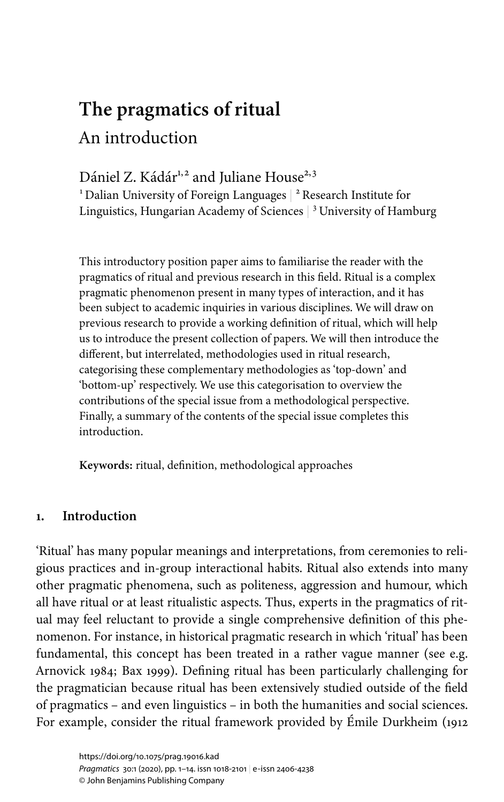# **The pragmatics of ritual** An introduction

# Dániel Z. Kádár<sup>1,2</sup> and Juliane House<sup>2,3</sup>

 $^{\rm ^{\rm 1}}$  Dalian University of Foreign Languages  $\vert$   $^{\rm ^{\rm 2}}$  Research Institute for Linguistics, Hungarian Academy of Sciences  $\vert$  <sup>3</sup> University of Hamburg

This introductory position paper aims to familiarise the reader with the pragmatics of ritual and previous research in this field. Ritual is a complex pragmatic phenomenon present in many types of interaction, and it has been subject to academic inquiries in various disciplines. We will draw on previous research to provide a working definition of ritual, which will help us to introduce the present collection of papers. We will then introduce the different, but interrelated, methodologies used in ritual research, categorising these complementary methodologies as 'top-down' and 'bottom-up' respectively. We use this categorisation to overview the contributions of the special issue from a methodological perspective. Finally, a summary of the contents of the special issue completes this introduction.

**Keywords:** ritual, definition, methodological approaches

# **1. Introduction**

'Ritual' has many popular meanings and interpretations, from ceremonies to religious practices and in-group interactional habits. Ritual also extends into many other pragmatic phenomena, such as politeness, aggression and humour, which all have ritual or at least ritualistic aspects. Thus, experts in the pragmatics of ritual may feel reluctant to provide a single comprehensive definition of this phenomenon. For instance, in historical pragmatic research in which 'ritual' has been fundamental, this concept has been treated in a rather vague manner (see e.g. [Arnovick](#page-10-0) 1984; Bax [1999](#page-10-1)). Defining ritual has been particularly challenging for the pragmatician because ritual has been extensively studied outside of the field of pragmatics – and even linguistics – in both the humanities and social sciences. For example, consider the ritual framework provided by Émile [Durkheim](#page-10-2) (1912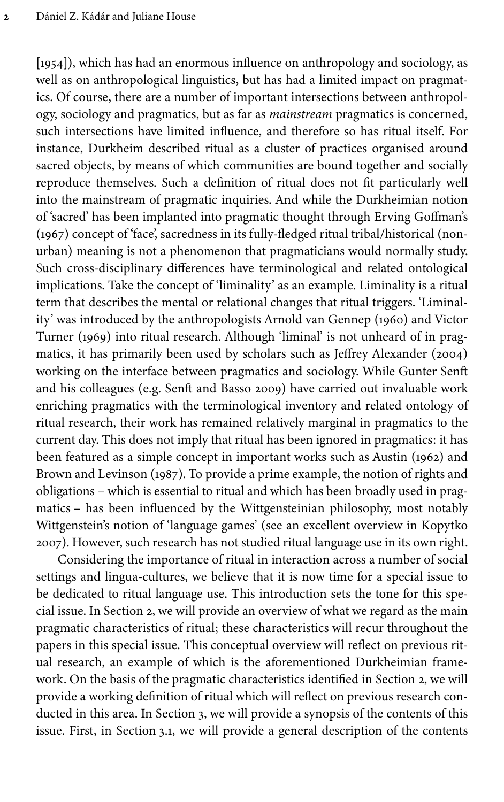[\[1954\]\)](#page-10-2), which has had an enormous influence on anthropology and sociology, as well as on anthropological linguistics, but has had a limited impact on pragmatics. Of course, there are a number of important intersections between anthropology, sociology and pragmatics, but as far as *mainstream* pragmatics is concerned, such intersections have limited influence, and therefore so has ritual itself. For instance, Durkheim described ritual as a cluster of practices organised around sacred objects, by means of which communities are bound together and socially reproduce themselves. Such a definition of ritual does not fit particularly well into the mainstream of pragmatic inquiries. And while the Durkheimian notion of 'sacred' has been implanted into pragmatic thought through Erving [Goffman's](#page-10-3) [\(1967\)](#page-10-3) concept of 'face', sacredness in its fully-fledged ritual tribal/historical (nonurban) meaning is not a phenomenon that pragmaticians would normally study. Such cross-disciplinary differences have terminological and related ontological implications. Take the concept of 'liminality' as an example. Liminality is a ritual term that describes the mental or relational changes that ritual triggers. 'Liminality' was introduced by the anthropologists Arnold van [Gennep](#page-12-0) (1960) and Victor [Turner](#page-12-1) (1969) into ritual research. Although 'liminal' is not unheard of in pragmatics, it has primarily been used by scholars such as Jeffrey [Alexander](#page-10-4) (2004) working on the interface between pragmatics and sociology. While Gunter Senft and his colleagues (e.g. Senft and [Basso](#page-11-0) 2009) have carried out invaluable work enriching pragmatics with the terminological inventory and related ontology of ritual research, their work has remained relatively marginal in pragmatics to the current day. This does not imply that ritual has been ignored in pragmatics: it has been featured as a simple concept in important works such as [Austin](#page-10-5) (1962) and Brown and [Levinson](#page-10-6) (1987). To provide a prime example, the notion of rights and obligations – which is essential to ritual and which has been broadly used in pragmatics – has been influenced by the Wittgensteinian philosophy, most notably Wittgenstein's notion of 'language games' (see an excellent overview in [Kopytko](#page-11-1) [2007\)](#page-11-1). However, such research has not studied ritual language use in its own right.

Considering the importance of ritual in interaction across a number of social settings and lingua-cultures, we believe that it is now time for a special issue to be dedicated to ritual language use. This introduction sets the tone for this special issue. In [Section](#page-2-0) 2, we will provide an overview of what we regard as the main pragmatic characteristics of ritual; these characteristics will recur throughout the papers in this special issue. This conceptual overview will reflect on previous ritual research, an example of which is the aforementioned Durkheimian framework. On the basis of the pragmatic characteristics identified in [Section](#page-2-0) 2, we will provide a working definition of ritual which will reflect on previous research conducted in this area. In [Section](#page-5-0) 3, we will provide a synopsis of the contents of this issue. First, in [Section](#page-5-1) 3.1, we will provide a general description of the contents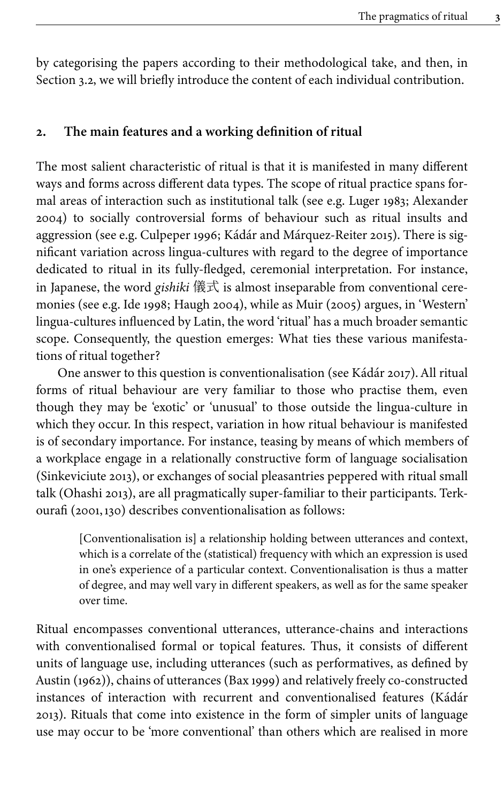by categorising the papers according to their methodological take, and then, in [Section](#page-7-0) 3.2, we will briefly introduce the content of each individual contribution.

#### <span id="page-2-0"></span>**2. The main features and a working definition of ritual**

The most salient characteristic of ritual is that it is manifested in many different ways and forms across different data types. The scope of ritual practice spans formal areas of interaction such as institutional talk (see e.g. [Luger](#page-11-2) 1983; [Alexander](#page-10-4) [2004](#page-10-4)) to socially controversial forms of behaviour such as ritual insults and aggression (see e.g. [Culpeper](#page-10-7) 1996; Kádár and [Márquez-Reiter](#page-11-3) 2015). There is significant variation across lingua-cultures with regard to the degree of importance dedicated to ritual in its fully-fledged, ceremonial interpretation. For instance, in Japanese, the word *gishiki* 儀式 is almost inseparable from conventional ceremonies (see e.g. Ide [1998](#page-11-4); [Haugh](#page-11-5) 2004), while as Muir [\(2005\)](#page-11-6) argues, in 'Western' lingua-cultures influenced by Latin, the word 'ritual' has a much broader semantic scope. Consequently, the question emerges: What ties these various manifestations of ritual together?

One answer to this question is conventionalisation (see [Kádár](#page-11-7) 2017). All ritual forms of ritual behaviour are very familiar to those who practise them, even though they may be 'exotic' or 'unusual' to those outside the lingua-culture in which they occur. In this respect, variation in how ritual behaviour is manifested is of secondary importance. For instance, teasing by means of which members of a workplace engage in a relationally constructive form of language socialisation [\(Sinkeviciute](#page-12-2) 2013), or exchanges of social pleasantries peppered with ritual small talk [\(Ohashi](#page-11-8) 2013), are all pragmatically super-familiar to their participants. Terkourafi [\(2001,](#page-12-3)130) describes conventionalisation as follows:

[Conventionalisation is] a relationship holding between utterances and context, which is a correlate of the (statistical) frequency with which an expression is used in one's experience of a particular context. Conventionalisation is thus a matter of degree, and may well vary in different speakers, as well as for the same speaker over time.

Ritual encompasses conventional utterances, utterance-chains and interactions with conventionalised formal or topical features. Thus, it consists of different units of language use, including utterances (such as performatives, as defined by [Austin](#page-10-5) (1962)), chains of utterances (Bax [1999\)](#page-10-1) and relatively freely co-constructed instances of interaction with recurrent and conventionalised features ([Kádár](#page-11-9) [2013](#page-11-9)). Rituals that come into existence in the form of simpler units of language use may occur to be 'more conventional' than others which are realised in more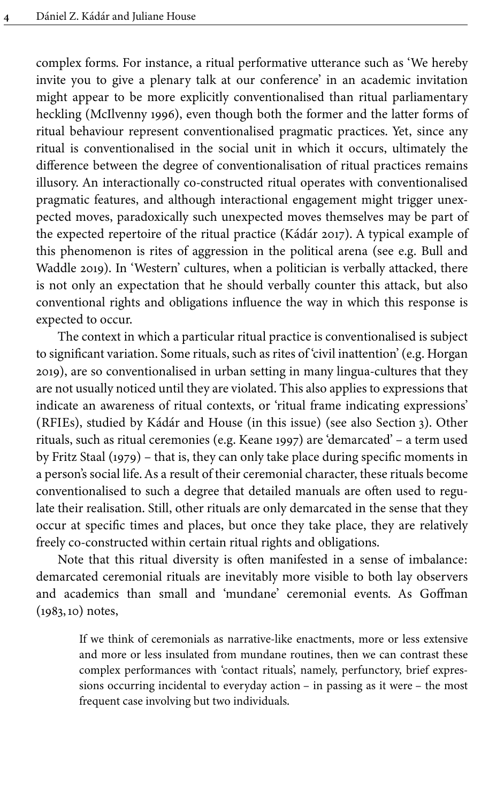complex forms. For instance, a ritual performative utterance such as 'We hereby invite you to give a plenary talk at our conference' in an academic invitation might appear to be more explicitly conventionalised than ritual parliamentary heckling ([McIlvenny](#page-11-10) 1996), even though both the former and the latter forms of ritual behaviour represent conventionalised pragmatic practices. Yet, since any ritual is conventionalised in the social unit in which it occurs, ultimately the difference between the degree of conventionalisation of ritual practices remains illusory. An interactionally co-constructed ritual operates with conventionalised pragmatic features, and although interactional engagement might trigger unexpected moves, paradoxically such unexpected moves themselves may be part of the expected repertoire of the ritual practice [\(Kádár](#page-11-7) 2017). A typical example of this phenomenon is rites of aggression in the political arena (see e.g. [Bull](#page-10-8) and [Waddle](#page-10-8) 2019). In 'Western' cultures, when a politician is verbally attacked, there is not only an expectation that he should verbally counter this attack, but also conventional rights and obligations influence the way in which this response is expected to occur.

The context in which a particular ritual practice is conventionalised is subject to significant variation. Some rituals, such as rites of 'civil inattention' (e.g. [Horgan](#page-11-11) [2019\)](#page-11-11), are so conventionalised in urban setting in many lingua-cultures that they are not usually noticed until they are violated. This also applies to expressions that indicate an awareness of ritual contexts, or 'ritual frame indicating expressions' (RFIEs), studied by Kádár and House (in this issue) (see also [Section](#page-5-0) 3). Other rituals, such as ritual ceremonies (e.g. [Keane](#page-11-12) 1997) are 'demarcated' – a term used by Fritz Staal [\(1979\)](#page-12-4) – that is, they can only take place during specific moments in a person's social life. As a result of their ceremonial character, these rituals become conventionalised to such a degree that detailed manuals are often used to regulate their realisation. Still, other rituals are only demarcated in the sense that they occur at specific times and places, but once they take place, they are relatively freely co-constructed within certain ritual rights and obligations.

Note that this ritual diversity is often manifested in a sense of imbalance: demarcated ceremonial rituals are inevitably more visible to both lay observers and academics than small and 'mundane' ceremonial events. As Goffman [\(1983,](#page-10-9)10) notes,

> If we think of ceremonials as narrative-like enactments, more or less extensive and more or less insulated from mundane routines, then we can contrast these complex performances with 'contact rituals', namely, perfunctory, brief expressions occurring incidental to everyday action – in passing as it were – the most frequent case involving but two individuals.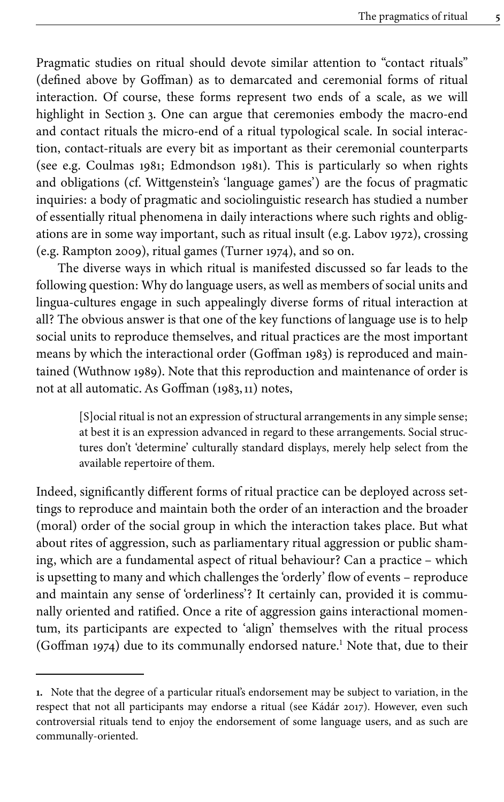Pragmatic studies on ritual should devote similar attention to "contact rituals" (defined above by Goffman) as to demarcated and ceremonial forms of ritual interaction. Of course, these forms represent two ends of a scale, as we will highlight in [Section](#page-5-0) 3. One can argue that ceremonies embody the macro-end and contact rituals the micro-end of a ritual typological scale. In social interaction, contact-rituals are every bit as important as their ceremonial counterparts (see e.g. [Coulmas](#page-10-10) 1981; [Edmondson](#page-10-11) 1981). This is particularly so when rights and obligations (cf. Wittgenstein's 'language games') are the focus of pragmatic inquiries: a body of pragmatic and sociolinguistic research has studied a number of essentially ritual phenomena in daily interactions where such rights and obligations are in some way important, such as ritual insult (e.g. [Labov](#page-11-13) 1972), crossing (e.g. [Rampton 2009](#page-11-14)), ritual games [\(Turner 1974](#page-12-5)), and so on.

The diverse ways in which ritual is manifested discussed so far leads to the following question: Why do language users, as well as members of social units and lingua-cultures engage in such appealingly diverse forms of ritual interaction at all? The obvious answer is that one of the key functions of language use is to help social units to reproduce themselves, and ritual practices are the most important means by which the interactional order [\(Goffman](#page-10-9) 1983) is reproduced and maintained [\(Wuthnow](#page-12-6) 1989). Note that this reproduction and maintenance of order is not at all automatic. As Goffman [\(1983,](#page-10-9)11) notes,

[S]ocial ritual is not an expression of structural arrangements in any simple sense; at best it is an expression advanced in regard to these arrangements. Social structures don't 'determine' culturally standard displays, merely help select from the available repertoire of them.

Indeed, significantly different forms of ritual practice can be deployed across settings to reproduce and maintain both the order of an interaction and the broader (moral) order of the social group in which the interaction takes place. But what about rites of aggression, such as parliamentary ritual aggression or public shaming, which are a fundamental aspect of ritual behaviour? Can a practice – which is upsetting to many and which challenges the 'orderly' flow of events – reproduce and maintain any sense of 'orderliness'? It certainly can, provided it is communally oriented and ratified. Once a rite of aggression gains interactional momentum, its participants are expected to 'align' themselves with the ritual process [\(Goffman](#page-10-12) 1974) due to its communally endorsed nature. <sup>1</sup> Note that, due to their

**<sup>1.</sup>** Note that the degree of a particular ritual's endorsement may be subject to variation, in the respect that not all participants may endorse a ritual (see [Kádár](#page-11-7) 2017). However, even such controversial rituals tend to enjoy the endorsement of some language users, and as such are communally-oriented.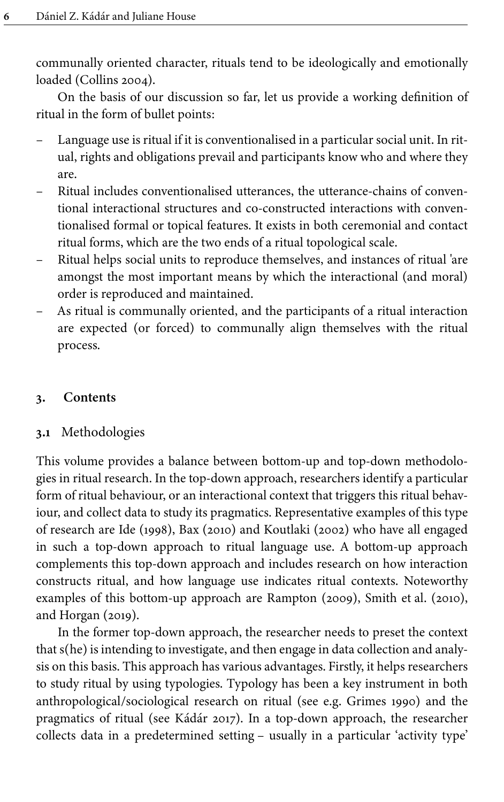communally oriented character, rituals tend to be ideologically and emotionally loaded ([Collins 2004](#page-10-13)).

On the basis of our discussion so far, let us provide a working definition of ritual in the form of bullet points:

- Language use is ritual if it is conventionalised in a particular social unit. In ritual, rights and obligations prevail and participants know who and where they are.
- Ritual includes conventionalised utterances, the utterance-chains of conventional interactional structures and co-constructed interactions with conventionalised formal or topical features. It exists in both ceremonial and contact ritual forms, which are the two ends of a ritual topological scale.
- Ritual helps social units to reproduce themselves, and instances of ritual 'are amongst the most important means by which the interactional (and moral) order is reproduced and maintained.
- As ritual is communally oriented, and the participants of a ritual interaction are expected (or forced) to communally align themselves with the ritual process.

# <span id="page-5-0"></span>**3. Contents**

# <span id="page-5-1"></span>**3.1** Methodologies

This volume provides a balance between bottom-up and top-down methodologies in ritual research. In the top-down approach, researchers identify a particular form of ritual behaviour, or an interactional context that triggers this ritual behaviour, and collect data to study its pragmatics. Representative examples of this type of research are Ide [\(1998\),](#page-11-4) Bax [\(2010\)](#page-10-14) and [Koutlaki](#page-11-15) (2002) who have all engaged in such a top-down approach to ritual language use. A bottom-up approach complements this top-down approach and includes research on how interaction constructs ritual, and how language use indicates ritual contexts. Noteworthy examples of this bottom-up approach are [Rampton](#page-11-14) (2009), Smith et al. [\(2010\)](#page-12-7), and [Horgan \(2019\)](#page-11-11).

In the former top-down approach, the researcher needs to preset the context that s(he) is intending to investigate, and then engage in data collection and analysis on this basis. This approach has various advantages. Firstly, it helps researchers to study ritual by using typologies. Typology has been a key instrument in both anthropological/sociological research on ritual (see e.g. [Grimes](#page-11-16) 1990) and the pragmatics of ritual (see [Kádár](#page-11-7) 2017). In a top-down approach, the researcher collects data in a predetermined setting – usually in a particular 'activity type'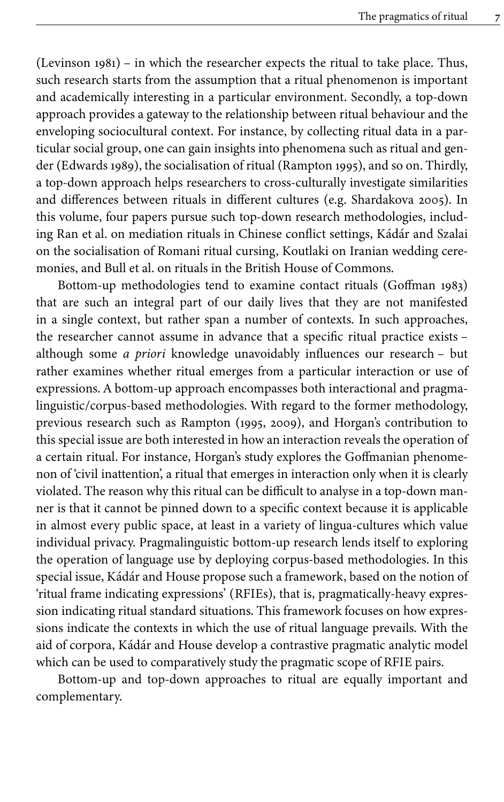[\(Levinson](#page-11-17) 1981) – in which the researcher expects the ritual to take place. Thus, such research starts from the assumption that a ritual phenomenon is important and academically interesting in a particular environment. Secondly, a top-down approach provides a gateway to the relationship between ritual behaviour and the enveloping sociocultural context. For instance, by collecting ritual data in a particular social group, one can gain insights into phenomena such as ritual and gender [\(Edwards](#page-10-15) 1989), the socialisation of ritual [\(Rampton](#page-11-18) 1995), and so on. Thirdly, a top-down approach helps researchers to cross-culturally investigate similarities and differences between rituals in different cultures (e.g. [Shardakova](#page-11-19) 2005). In this volume, four papers pursue such top-down research methodologies, including Ran et al. on mediation rituals in Chinese conflict settings, Kádár and Szalai on the socialisation of Romani ritual cursing, Koutlaki on Iranian wedding ceremonies, and Bull et al. on rituals in the British House of Commons.

Bottom-up methodologies tend to examine contact rituals [\(Goffman](#page-10-9) 1983) that are such an integral part of our daily lives that they are not manifested in a single context, but rather span a number of contexts. In such approaches, the researcher cannot assume in advance that a specific ritual practice exists – although some *a priori* knowledge unavoidably influences our research – but rather examines whether ritual emerges from a particular interaction or use of expressions. A bottom-up approach encompasses both interactional and pragmalinguistic/corpus-based methodologies. With regard to the former methodology, previous research such as Rampton [\(1995](#page-11-18), [2009\)](#page-11-14), and Horgan's contribution to this special issue are both interested in how an interaction reveals the operation of a certain ritual. For instance, Horgan's study explores the Goffmanian phenomenon of 'civil inattention', a ritual that emerges in interaction only when it is clearly violated. The reason why this ritual can be difficult to analyse in a top-down manner is that it cannot be pinned down to a specific context because it is applicable in almost every public space, at least in a variety of lingua-cultures which value individual privacy. Pragmalinguistic bottom-up research lends itself to exploring the operation of language use by deploying corpus-based methodologies. In this special issue, Kádár and House propose such a framework, based on the notion of 'ritual frame indicating expressions' (RFIEs), that is, pragmatically-heavy expression indicating ritual standard situations. This framework focuses on how expressions indicate the contexts in which the use of ritual language prevails. With the aid of corpora, Kádár and House develop a contrastive pragmatic analytic model which can be used to comparatively study the pragmatic scope of RFIE pairs.

Bottom-up and top-down approaches to ritual are equally important and complementary.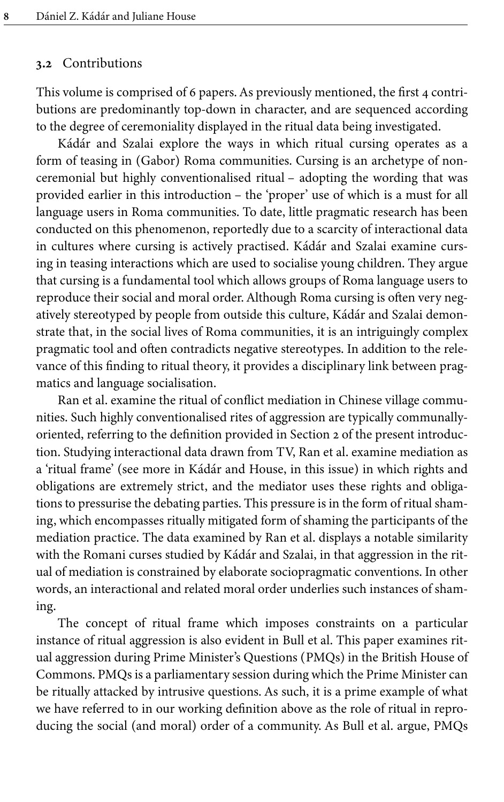#### <span id="page-7-0"></span>**3.2** Contributions

This volume is comprised of 6 papers. As previously mentioned, the first 4 contributions are predominantly top-down in character, and are sequenced according to the degree of ceremoniality displayed in the ritual data being investigated.

Kádár and Szalai explore the ways in which ritual cursing operates as a form of teasing in (Gabor) Roma communities. Cursing is an archetype of nonceremonial but highly conventionalised ritual – adopting the wording that was provided earlier in this introduction – the 'proper' use of which is a must for all language users in Roma communities. To date, little pragmatic research has been conducted on this phenomenon, reportedly due to a scarcity of interactional data in cultures where cursing is actively practised. Kádár and Szalai examine cursing in teasing interactions which are used to socialise young children. They argue that cursing is a fundamental tool which allows groups of Roma language users to reproduce their social and moral order. Although Roma cursing is often very negatively stereotyped by people from outside this culture, Kádár and Szalai demonstrate that, in the social lives of Roma communities, it is an intriguingly complex pragmatic tool and often contradicts negative stereotypes. In addition to the relevance of this finding to ritual theory, it provides a disciplinary link between pragmatics and language socialisation.

Ran et al. examine the ritual of conflict mediation in Chinese village communities. Such highly conventionalised rites of aggression are typically communallyoriented, referring to the definition provided in [Section](#page-2-0) 2 of the present introduction. Studying interactional data drawn from TV, Ran et al. examine mediation as a 'ritual frame' (see more in Kádár and House, in this issue) in which rights and obligations are extremely strict, and the mediator uses these rights and obligations to pressurise the debating parties. This pressure is in the form of ritual shaming, which encompasses ritually mitigated form of shaming the participants of the mediation practice. The data examined by Ran et al. displays a notable similarity with the Romani curses studied by Kádár and Szalai, in that aggression in the ritual of mediation is constrained by elaborate sociopragmatic conventions. In other words, an interactional and related moral order underlies such instances of shaming.

The concept of ritual frame which imposes constraints on a particular instance of ritual aggression is also evident in Bull et al. This paper examines ritual aggression during Prime Minister's Questions (PMQs) in the British House of Commons. PMQs is a parliamentary session during which the Prime Minister can be ritually attacked by intrusive questions. As such, it is a prime example of what we have referred to in our working definition above as the role of ritual in reproducing the social (and moral) order of a community. As Bull et al. argue, PMQs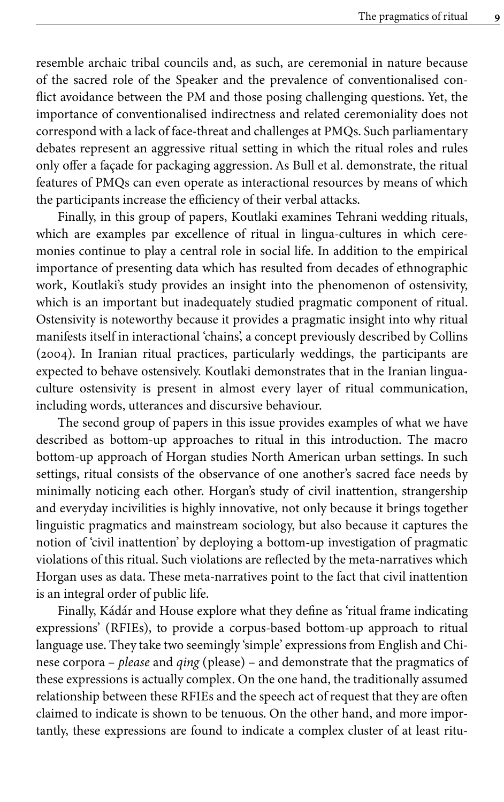resemble archaic tribal councils and, as such, are ceremonial in nature because of the sacred role of the Speaker and the prevalence of conventionalised conflict avoidance between the PM and those posing challenging questions. Yet, the importance of conventionalised indirectness and related ceremoniality does not correspond with a lack of face-threat and challenges at PMQs. Such parliamentary debates represent an aggressive ritual setting in which the ritual roles and rules only offer a façade for packaging aggression. As Bull et al. demonstrate, the ritual features of PMQs can even operate as interactional resources by means of which the participants increase the efficiency of their verbal attacks.

Finally, in this group of papers, Koutlaki examines Tehrani wedding rituals, which are examples par excellence of ritual in lingua-cultures in which ceremonies continue to play a central role in social life. In addition to the empirical importance of presenting data which has resulted from decades of ethnographic work, Koutlaki's study provides an insight into the phenomenon of ostensivity, which is an important but inadequately studied pragmatic component of ritual. Ostensivity is noteworthy because it provides a pragmatic insight into why ritual manifests itself in interactional 'chains', a concept previously described by [Collins](#page-10-13) [\(2004\)](#page-10-13). In Iranian ritual practices, particularly weddings, the participants are expected to behave ostensively. Koutlaki demonstrates that in the Iranian linguaculture ostensivity is present in almost every layer of ritual communication, including words, utterances and discursive behaviour.

The second group of papers in this issue provides examples of what we have described as bottom-up approaches to ritual in this introduction. The macro bottom-up approach of Horgan studies North American urban settings. In such settings, ritual consists of the observance of one another's sacred face needs by minimally noticing each other. Horgan's study of civil inattention, strangership and everyday incivilities is highly innovative, not only because it brings together linguistic pragmatics and mainstream sociology, but also because it captures the notion of 'civil inattention' by deploying a bottom-up investigation of pragmatic violations of this ritual. Such violations are reflected by the meta-narratives which Horgan uses as data. These meta-narratives point to the fact that civil inattention is an integral order of public life.

Finally, Kádár and House explore what they define as 'ritual frame indicating expressions' (RFIEs), to provide a corpus-based bottom-up approach to ritual language use. They take two seemingly 'simple' expressions from English and Chinese corpora – *please* and *qing* (please) – and demonstrate that the pragmatics of these expressions is actually complex. On the one hand, the traditionally assumed relationship between these RFIEs and the speech act of request that they are often claimed to indicate is shown to be tenuous. On the other hand, and more importantly, these expressions are found to indicate a complex cluster of at least ritu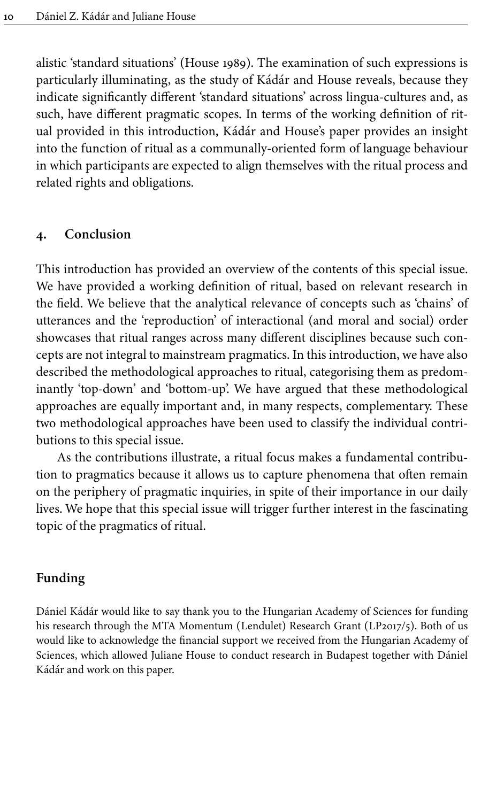alistic 'standard situations' [\(House](#page-11-20) 1989). The examination of such expressions is particularly illuminating, as the study of Kádár and House reveals, because they indicate significantly different 'standard situations' across lingua-cultures and, as such, have different pragmatic scopes. In terms of the working definition of ritual provided in this introduction, Kádár and House's paper provides an insight into the function of ritual as a communally-oriented form of language behaviour in which participants are expected to align themselves with the ritual process and related rights and obligations.

#### **4. Conclusion**

This introduction has provided an overview of the contents of this special issue. We have provided a working definition of ritual, based on relevant research in the field. We believe that the analytical relevance of concepts such as 'chains' of utterances and the 'reproduction' of interactional (and moral and social) order showcases that ritual ranges across many different disciplines because such concepts are not integral to mainstream pragmatics. In this introduction, we have also described the methodological approaches to ritual, categorising them as predominantly 'top-down' and 'bottom-up'. We have argued that these methodological approaches are equally important and, in many respects, complementary. These two methodological approaches have been used to classify the individual contributions to this special issue.

As the contributions illustrate, a ritual focus makes a fundamental contribution to pragmatics because it allows us to capture phenomena that often remain on the periphery of pragmatic inquiries, in spite of their importance in our daily lives. We hope that this special issue will trigger further interest in the fascinating topic of the pragmatics of ritual.

#### **Funding**

Dániel Kádár would like to say thank you to the Hungarian Academy of Sciences for funding his research through the MTA Momentum (Lendulet) Research Grant (LP2017/5). Both of us would like to acknowledge the financial support we received from the Hungarian Academy of Sciences, which allowed Juliane House to conduct research in Budapest together with Dániel Kádár and work on this paper.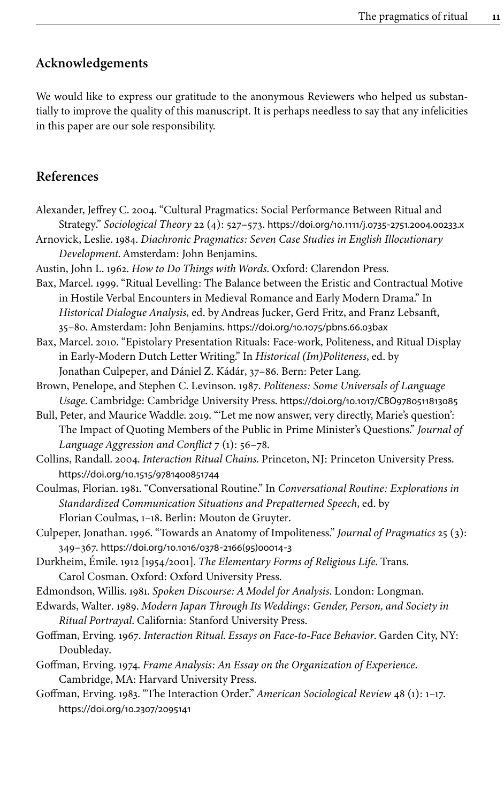# **Acknowledgements**

We would like to express our gratitude to the anonymous Reviewers who helped us substantially to improve the quality of this manuscript. It is perhaps needless to say that any infelicities in this paper are our sole responsibility.

# **References**

- <span id="page-10-4"></span>Alexander, Jeffrey C. 2004. "Cultural Pragmatics: Social Performance Between Ritual and Strategy." *Sociological Theory* 22 (4): 527–573. [https://doi.org/10.1111/j.0735](https://doi.org/10.1111%2Fj.0735-2751.2004.00233.x)‑2751.2004.00233.x
- <span id="page-10-0"></span>Arnovick, Leslie. 1984. *Diachronic Pragmatics: Seven Case Studies in English Illocutionary Development*. Amsterdam: John Benjamins.
- <span id="page-10-5"></span>Austin, John L. 1962. *How to Do Things with Words*. Oxford: Clarendon Press.
- <span id="page-10-1"></span>Bax, Marcel. 1999. "Ritual Levelling: The Balance between the Eristic and Contractual Motive in Hostile Verbal Encounters in Medieval Romance and Early Modern Drama." In *Historical Dialogue Analysis*, ed. by Andreas Jucker, Gerd Fritz, and Franz Lebsanft, 35–80. Amsterdam: John Benjamins. [https://doi.org/10.1075/pbns.66.03bax](https://doi.org/10.1075%2Fpbns.66.03bax)
- <span id="page-10-14"></span>Bax, Marcel. 2010. "Epistolary Presentation Rituals: Face-work, Politeness, and Ritual Display in Early-Modern Dutch Letter Writing." In *Historical (Im)Politeness*, ed. by Jonathan Culpeper, and Dániel Z. Kádár, 37–86. Bern: Peter Lang.
- <span id="page-10-6"></span>Brown, Penelope, and Stephen C. Levinson. 1987. *Politeness: Some Universals of Language Usage*. Cambridge: Cambridge University Press. [https://doi.org/10.1017/CBO9780511813085](https://doi.org/10.1017%2FCBO9780511813085)
- <span id="page-10-8"></span>Bull, Peter, and Maurice Waddle. 2019. "'Let me now answer, very directly, Marie's question': The Impact of Quoting Members of the Public in Prime Minister's Questions." *Journal of Language Aggression and Conflict* 7 (1): 56–78.
- <span id="page-10-13"></span>Collins, Randall. 2004. *Interaction Ritual Chains*. Princeton, NJ: Princeton University Press. [https://doi.org/10.1515/9781400851744](https://doi.org/10.1515%2F9781400851744)
- <span id="page-10-10"></span>Coulmas, Florian. 1981. "Conversational Routine." In *Conversational Routine: Explorations in Standardized Communication Situations and Prepatterned Speech*, ed. by Florian Coulmas, 1–18. Berlin: Mouton de Gruyter.
- <span id="page-10-7"></span>Culpeper, Jonathan. 1996. "Towards an Anatomy of Impoliteness." *Journal of Pragmatics* 25 (3): 349–367. [https://doi.org/10.1016/0378](https://doi.org/10.1016%2F0378-2166%2895%2900014-3)‑2166(95)00014‑3
- <span id="page-10-2"></span>Durkheim, Émile. 1912 [1954/2001]. *The Elementary Forms of Religious Life*. Trans. Carol Cosman. Oxford: Oxford University Press.
- <span id="page-10-11"></span>Edmondson, Willis. 1981. *Spoken Discourse: A Model for Analysis*. London: Longman.
- <span id="page-10-15"></span>Edwards, Walter. 1989. *Modern Japan Through Its Weddings: Gender, Person, and Society in Ritual Portrayal*. California: Stanford University Press.
- <span id="page-10-3"></span>Goffman, Erving. 1967. *Interaction Ritual. Essays on Face-to-Face Behavior*. Garden City, NY: Doubleday.
- <span id="page-10-12"></span>Goffman, Erving. 1974. *Frame Analysis: An Essay on the Organization of Experience*. Cambridge, MA: Harvard University Press.
- <span id="page-10-9"></span>Goffman, Erving. 1983. "The Interaction Order." *American Sociological Review* 48 (1): 1–17. [https://doi.org/10.2307/2095141](https://doi.org/10.2307%2F2095141)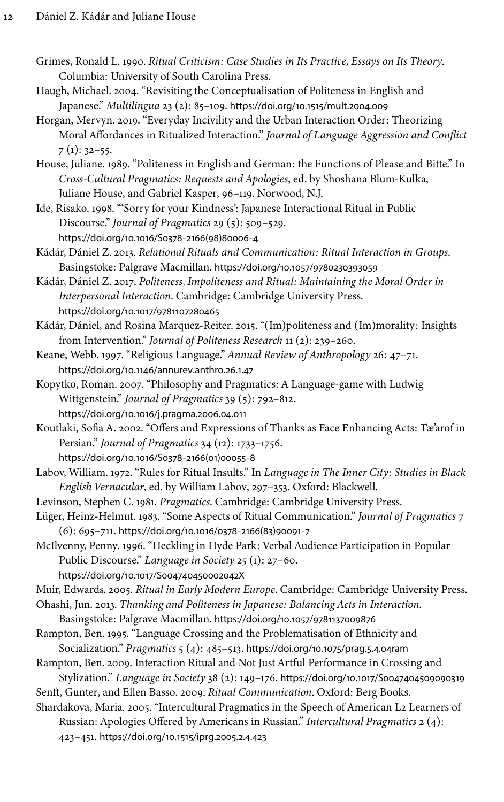- <span id="page-11-16"></span>Grimes, Ronald L. 1990. *Ritual Criticism: Case Studies in Its Practice, Essays on Its Theory*. Columbia: University of South Carolina Press.
- <span id="page-11-5"></span>Haugh, Michael. 2004. "Revisiting the Conceptualisation of Politeness in English and Japanese." *Multilingua* 23 (2): 85–109. [https://doi.org/10.1515/mult.2004.009](https://doi.org/10.1515%2Fmult.2004.009)
- <span id="page-11-11"></span>Horgan, Mervyn. 2019. "Everyday Incivility and the Urban Interaction Order: Theorizing Moral Affordances in Ritualized Interaction." *Journal of Language Aggression and Conflict*  $7(1): 32-55.$
- <span id="page-11-20"></span>House, Juliane. 1989. "Politeness in English and German: the Functions of Please and Bitte." In *Cross-Cultural Pragmatics: Requests and Apologies*, ed. by Shoshana Blum-Kulka, Juliane House, and Gabriel Kasper, 96–119. Norwood, N.J.
- <span id="page-11-4"></span>Ide, Risako. 1998. "'Sorry for your Kindness': Japanese Interactional Ritual in Public Discourse." *Journal of Pragmatics* 29 (5): 509–529. [https://doi.org/10.1016/S0378](https://doi.org/10.1016%2FS0378-2166%2898%2980006-4)‑2166(98)80006‑4
- <span id="page-11-9"></span>Kádár, Dániel Z. 2013. *Relational Rituals and Communication: Ritual Interaction in Groups*. Basingstoke: Palgrave Macmillan. [https://doi.org/10.1057/9780230393059](https://doi.org/10.1057%2F9780230393059)
- <span id="page-11-7"></span>Kádár, Dániel Z. 2017. *Politeness, Impoliteness and Ritual: Maintaining the Moral Order in Interpersonal Interaction*. Cambridge: Cambridge University Press. [https://doi.org/10.1017/9781107280465](https://doi.org/10.1017%2F9781107280465)
- <span id="page-11-3"></span>Kádár, Dániel, and Rosina Marquez-Reiter. 2015. "(Im)politeness and (Im)morality: Insights from Intervention." *Journal of Politeness Research* 11 (2): 239–260.
- <span id="page-11-12"></span>Keane, Webb. 1997. "Religious Language." *Annual Review of Anthropology* 26: 47–71. [https://doi.org/10.1146/annurev.anthro.26.1.47](https://doi.org/10.1146%2Fannurev.anthro.26.1.47)
- <span id="page-11-1"></span>Kopytko, Roman. 2007. "Philosophy and Pragmatics: A Language-game with Ludwig Wittgenstein." *Journal of Pragmatics* 39 (5): 792–812. [https://doi.org/10.1016/j.pragma.2006.04.011](https://doi.org/10.1016%2Fj.pragma.2006.04.011)
- <span id="page-11-15"></span>Koutlaki, Sofia A. 2002. "Offers and Expressions of Thanks as Face Enhancing Acts: Tæ'arof in Persian." *Journal of Pragmatics* 34 (12): 1733–1756.
	- [https://doi.org/10.1016/S0378](https://doi.org/10.1016%2FS0378-2166%2801%2900055-8)‑2166(01)00055‑8
- <span id="page-11-13"></span>Labov, William. 1972. "Rules for Ritual Insults." In *Language in The Inner City: Studies in Black English Vernacular*, ed. by William Labov, 297–353. Oxford: Blackwell.
- <span id="page-11-17"></span>Levinson, Stephen C. 1981. *Pragmatics*. Cambridge: Cambridge University Press.
- <span id="page-11-2"></span>Lüger, Heinz-Helmut. 1983. "Some Aspects of Ritual Communication." *Journal of Pragmatics* 7 (6): 695–711. [https://doi.org/10.1016/0378](https://doi.org/10.1016%2F0378-2166%2883%2990091-7)‑2166(83)90091‑7
- <span id="page-11-10"></span>McIlvenny, Penny. 1996. "Heckling in Hyde Park: Verbal Audience Participation in Popular Public Discourse." *Language in Society* 25 (1): 27–60. [https://doi.org/10.1017/S004740450002042X](https://doi.org/10.1017%2FS004740450002042X)
- <span id="page-11-6"></span>Muir, Edwards. 2005. *Ritual in Early Modern Europe*. Cambridge: Cambridge University Press.
- <span id="page-11-8"></span>Ohashi, Jun. 2013. *Thanking and Politeness in Japanese: Balancing Acts in Interaction*. Basingstoke: Palgrave Macmillan. [https://doi.org/10.1057/9781137009876](https://doi.org/10.1057%2F9781137009876)
- <span id="page-11-18"></span>Rampton, Ben. 1995. "Language Crossing and the Problematisation of Ethnicity and Socialization." *Pragmatics* 5 (4): 485–513. [https://doi.org/10.1075/prag.5.4.04ram](https://doi.org/10.1075%2Fprag.5.4.04ram)
- <span id="page-11-14"></span>Rampton, Ben. 2009. Interaction Ritual and Not Just Artful Performance in Crossing and
- <span id="page-11-0"></span>Stylization." *Language in Society* 38 (2): 149–176. [https://doi.org/10.1017/S0047404509090319](https://doi.org/10.1017%2FS0047404509090319) Senft, Gunter, and Ellen Basso. 2009. *Ritual Communication*. Oxford: Berg Books.
- <span id="page-11-19"></span>Shardakova, Maria. 2005. "Intercultural Pragmatics in the Speech of American L2 Learners of Russian: Apologies Offered by Americans in Russian." *Intercultural Pragmatics* 2 (4): 423–451. [https://doi.org/10.1515/iprg.2005.2.4.423](https://doi.org/10.1515%2Fiprg.2005.2.4.423)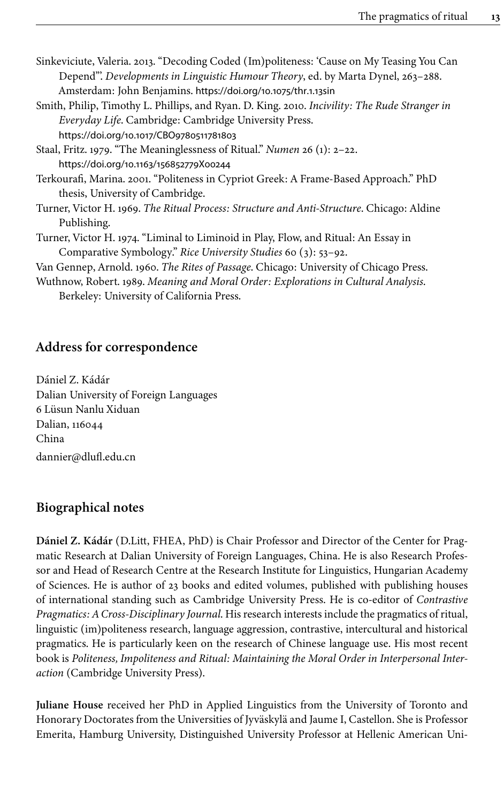<span id="page-12-2"></span>Sinkeviciute, Valeria. 2013. "Decoding Coded (Im)politeness: 'Cause on My Teasing You Can Depend"'. *Developments in Linguistic Humour Theory*, ed. by Marta Dynel, 263–288. Amsterdam: John Benjamins. [https://doi.org/10.1075/thr.1.13sin](https://doi.org/10.1075%2Fthr.1.13sin)

- <span id="page-12-7"></span>Smith, Philip, Timothy L. Phillips, and Ryan. D. King. 2010. *Incivility: The Rude Stranger in Everyday Life*. Cambridge: Cambridge University Press. [https://doi.org/10.1017/CBO9780511781803](https://doi.org/10.1017%2FCBO9780511781803)
- <span id="page-12-4"></span>Staal, Fritz. 1979. "The Meaninglessness of Ritual." *Numen* 26 (1): 2–22. [https://doi.org/10.1163/156852779X00244](https://doi.org/10.1163%2F156852779X00244)
- <span id="page-12-3"></span>Terkourafi, Marina. 2001. "Politeness in Cypriot Greek: A Frame-Based Approach." PhD thesis, University of Cambridge.
- <span id="page-12-1"></span>Turner, Victor H. 1969. *The Ritual Process: Structure and Anti-Structure*. Chicago: Aldine Publishing.
- <span id="page-12-5"></span>Turner, Victor H. 1974. "Liminal to Liminoid in Play, Flow, and Ritual: An Essay in Comparative Symbology." *Rice University Studies* 60 (3): 53–92.
- <span id="page-12-0"></span>Van Gennep, Arnold. 1960. *The Rites of Passage*. Chicago: University of Chicago Press.
- <span id="page-12-6"></span>Wuthnow, Robert. 1989. *Meaning and Moral Order: Explorations in Cultural Analysis*. Berkeley: University of California Press.

# **Address for correspondence**

Dániel Z. Kádár Dalian University of Foreign Languages 6 Lüsun Nanlu Xiduan Dalian, 116044 China [dannier@dlufl.edu.cn](mailto:dannier@dlufl.edu.cn)

# **Biographical notes**

**Dániel Z. Kádár** (D.Litt, FHEA, PhD) is Chair Professor and Director of the Center for Pragmatic Research at Dalian University of Foreign Languages, China. He is also Research Professor and Head of Research Centre at the Research Institute for Linguistics, Hungarian Academy of Sciences. He is author of 23 books and edited volumes, published with publishing houses of international standing such as Cambridge University Press. He is co-editor of *Contrastive Pragmatics: A Cross-Disciplinary Journal*. His research interests include the pragmatics of ritual, linguistic (im)politeness research, language aggression, contrastive, intercultural and historical pragmatics. He is particularly keen on the research of Chinese language use. His most recent book is *Politeness, Impoliteness and Ritual: Maintaining the Moral Order in Interpersonal Interaction* (Cambridge University Press).

**Juliane House** received her PhD in Applied Linguistics from the University of Toronto and Honorary Doctorates from the Universities of Jyväskylä and Jaume I, Castellon. She is Professor Emerita, Hamburg University, Distinguished University Professor at Hellenic American Uni